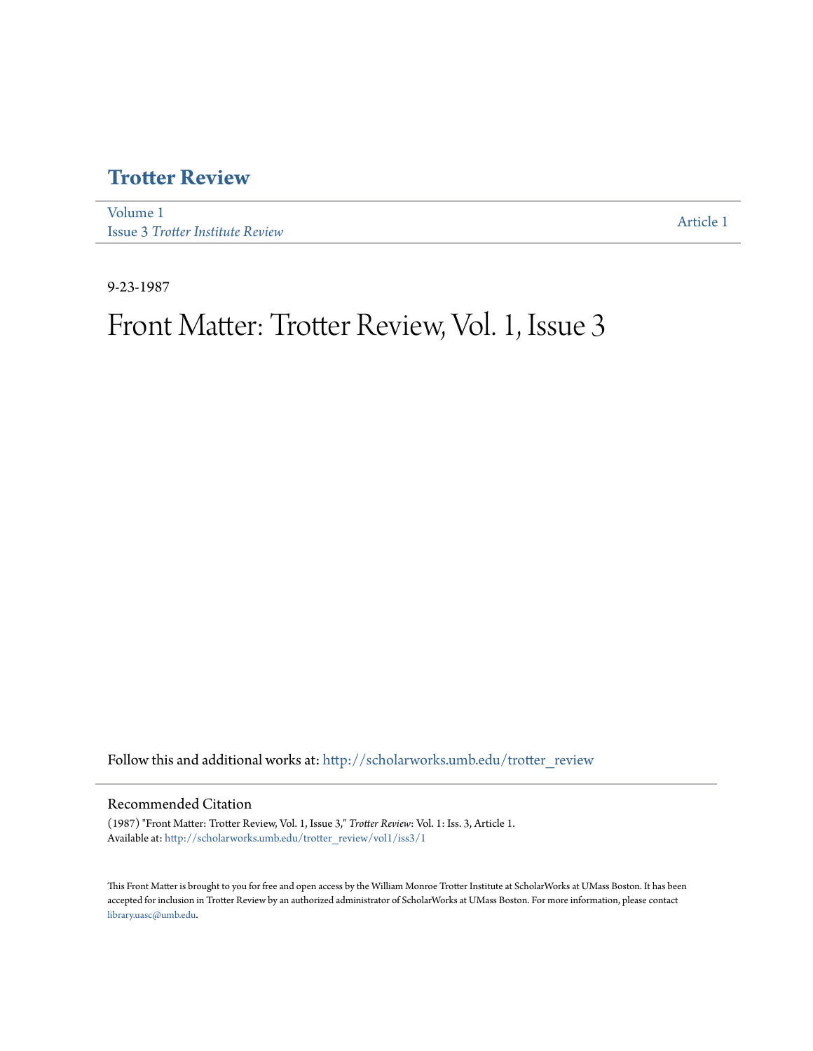## **[Trotter Review](http://scholarworks.umb.edu/trotter_review?utm_source=scholarworks.umb.edu%2Ftrotter_review%2Fvol1%2Fiss3%2F1&utm_medium=PDF&utm_campaign=PDFCoverPages)**

[Volume 1](http://scholarworks.umb.edu/trotter_review/vol1?utm_source=scholarworks.umb.edu%2Ftrotter_review%2Fvol1%2Fiss3%2F1&utm_medium=PDF&utm_campaign=PDFCoverPages) Issue 3 *[Trotter Institute Review](http://scholarworks.umb.edu/trotter_review/vol1/iss3?utm_source=scholarworks.umb.edu%2Ftrotter_review%2Fvol1%2Fiss3%2F1&utm_medium=PDF&utm_campaign=PDFCoverPages)*

[Article 1](http://scholarworks.umb.edu/trotter_review/vol1/iss3/1?utm_source=scholarworks.umb.edu%2Ftrotter_review%2Fvol1%2Fiss3%2F1&utm_medium=PDF&utm_campaign=PDFCoverPages)

9-23-1987

# Front Matter: Trotter Review, Vol. 1, Issue 3

Follow this and additional works at: [http://scholarworks.umb.edu/trotter\\_review](http://scholarworks.umb.edu/trotter_review?utm_source=scholarworks.umb.edu%2Ftrotter_review%2Fvol1%2Fiss3%2F1&utm_medium=PDF&utm_campaign=PDFCoverPages)

#### Recommended Citation

(1987) "Front Matter: Trotter Review, Vol. 1, Issue 3," *Trotter Review*: Vol. 1: Iss. 3, Article 1. Available at: [http://scholarworks.umb.edu/trotter\\_review/vol1/iss3/1](http://scholarworks.umb.edu/trotter_review/vol1/iss3/1?utm_source=scholarworks.umb.edu%2Ftrotter_review%2Fvol1%2Fiss3%2F1&utm_medium=PDF&utm_campaign=PDFCoverPages)

This Front Matter is brought to you for free and open access by the William Monroe Trotter Institute at ScholarWorks at UMass Boston. It has been accepted for inclusion in Trotter Review by an authorized administrator of ScholarWorks at UMass Boston. For more information, please contact [library.uasc@umb.edu.](mailto:library.uasc@umb.edu)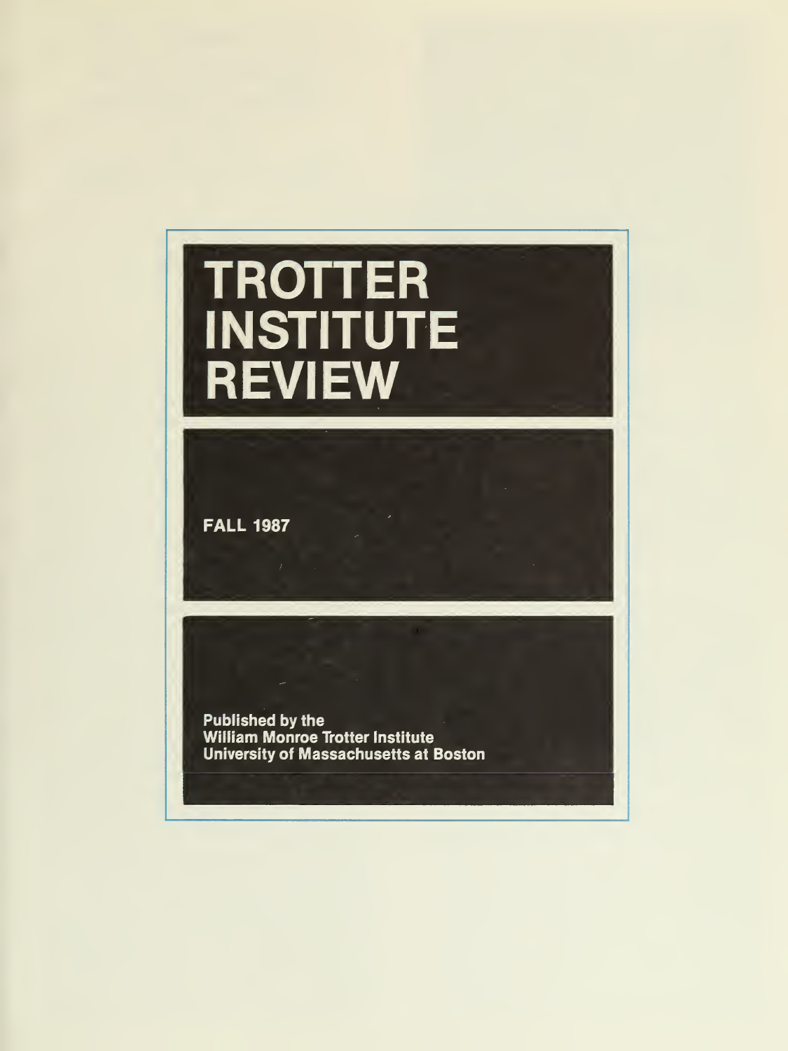# TROTTER INSTITUTE REVIEW

**FALL 1987** 

Published by the William Monroe Trotter Institute University of Massachusetts at Boston